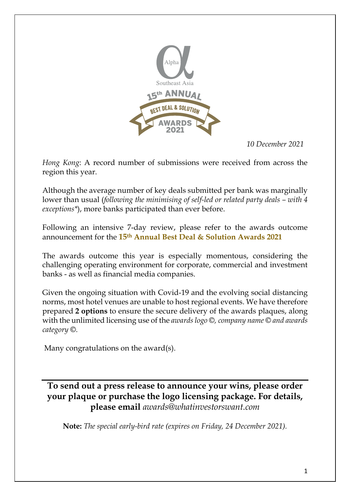

*10 December 2021*

*Hong Kong*: A record number of submissions were received from across the region this year.

Although the average number of key deals submitted per bank was marginally lower than usual (*following the minimising of self-led or related party deals – with 4 exceptions\**), more banks participated than ever before.

Following an intensive 7-day review, please refer to the awards outcome announcement for the **15th Annual Best Deal & Solution Awards 2021**

The awards outcome this year is especially momentous, considering the challenging operating environment for corporate, commercial and investment banks - as well as financial media companies.

Given the ongoing situation with Covid-19 and the evolving social distancing norms, most hotel venues are unable to host regional events. We have therefore prepared **2 options** to ensure the secure delivery of the awards plaques, along with the unlimited licensing use of the *awards logo ©, company name © and awards category ©.*

Many congratulations on the award(s).

**To send out a press release to announce your wins, please order your plaque or purchase the logo licensing package. For details, please email** *awards@whatinvestorswant.com*

**Note:** *The special early-bird rate (expires on Friday, 24 December 2021).*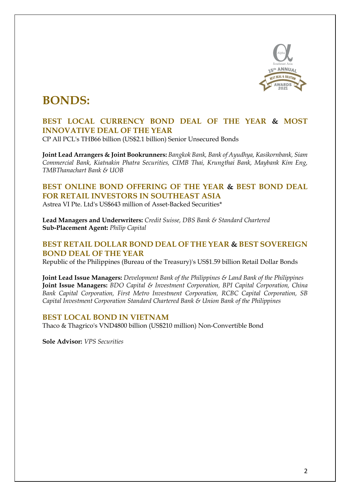

### **BONDS:**

### **BEST LOCAL CURRENCY BOND DEAL OF THE YEAR & MOST INNOVATIVE DEAL OF THE YEAR**

CP All PCL's THB66 billion (US\$2.1 billion) Senior Unsecured Bonds

**Joint Lead Arrangers & Joint Bookrunners:** *Bangkok Bank, Bank of Ayudhya, Kasikornbank, Siam Commercial Bank, Kiatnakin Phatra Securities, CIMB Thai, Krungthai Bank, Maybank Kim Eng, TMBThanachart Bank & UOB*

### **BEST ONLINE BOND OFFERING OF THE YEAR & BEST BOND DEAL FOR RETAIL INVESTORS IN SOUTHEAST ASIA**

Astrea VI Pte. Ltd's US\$643 million of Asset-Backed Securities\*

**Lead Managers and Underwriters:** *Credit Suisse, DBS Bank & Standard Chartered* **Sub-Placement Agent:** *Philip Capital*

### **BEST RETAIL DOLLAR BOND DEAL OF THE YEAR & BEST SOVEREIGN BOND DEAL OF THE YEAR**

Republic of the Philippines (Bureau of the Treasury)'s US\$1.59 billion Retail Dollar Bonds

**Joint Lead Issue Managers:** *Development Bank of the Philippines & Land Bank of the Philippines* **Joint Issue Managers:** *BDO Capital & Investment Corporation, BPI Capital Corporation, China Bank Capital Corporation, First Metro Investment Corporation, RCBC Capital Corporation, SB Capital Investment Corporation Standard Chartered Bank & Union Bank of the Philippines*

### **BEST LOCAL BOND IN VIETNAM**

Thaco & Thagrico's VND4800 billion (US\$210 million) Non-Convertible Bond

**Sole Advisor:** *VPS Securities*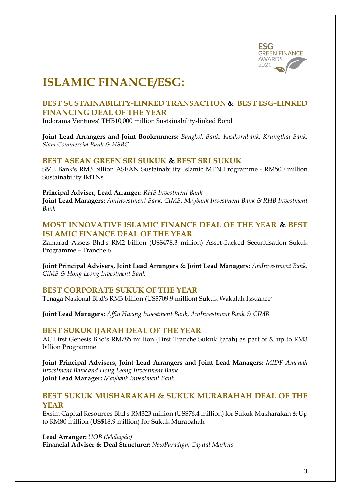

# **ISLAMIC FINANCE/ESG:**

### **BEST SUSTAINABILITY-LINKED TRANSACTION & BEST ESG-LINKED FINANCING DEAL OF THE YEAR**

Indorama Ventures' THB10,000 million Sustainability-linked Bond

**Joint Lead Arrangers and Joint Bookrunners:** *Bangkok Bank, Kasikornbank, Krungthai Bank, Siam Commercial Bank & HSBC*

### **BEST ASEAN GREEN SRI SUKUK & BEST SRI SUKUK**

SME Bank's RM3 billion ASEAN Sustainability Islamic MTN Programme - RM500 million Sustainability IMTNs

**Principal Adviser, Lead Arranger:** *RHB Investment Bank* **Joint Lead Managers:** *AmInvestment Bank, CIMB, Maybank Investment Bank & RHB Investment Bank*

### **MOST INNOVATIVE ISLAMIC FINANCE DEAL OF THE YEAR & BEST ISLAMIC FINANCE DEAL OF THE YEAR**

Zamarad Assets Bhd's RM2 billion (US\$478.3 million) Asset-Backed Securitisation Sukuk Programme – Tranche 6

**Joint Principal Advisers, Joint Lead Arrangers & Joint Lead Managers:** *AmInvestment Bank, CIMB & Hong Leong Investment Bank*

### **BEST CORPORATE SUKUK OF THE YEAR**

Tenaga Nasional Bhd's RM3 billion (US\$709.9 million) Sukuk Wakalah Issuance\*

**Joint Lead Managers:** *Affin Hwang Investment Bank, AmInvestment Bank & CIMB*

#### **BEST SUKUK IJARAH DEAL OF THE YEAR**

AC First Genesis Bhd's RM785 million (First Tranche Sukuk Ijarah) as part of & up to RM3 billion Programme

**Joint Principal Advisers, Joint Lead Arrangers and Joint Lead Managers:** *MIDF Amanah Investment Bank and Hong Leong Investment Bank* **Joint Lead Manager:** *Maybank Investment Bank*

### **BEST SUKUK MUSHARAKAH & SUKUK MURABAHAH DEAL OF THE YEAR**

Exsim Capital Resources Bhd's RM323 million (US\$76.4 million) for Sukuk Musharakah & Up to RM80 million (US\$18.9 million) for Sukuk Murabahah

**Lead Arranger:** *UOB (Malaysia)*

**Financial Adviser & Deal Structurer:** *NewParadigm Capital Markets*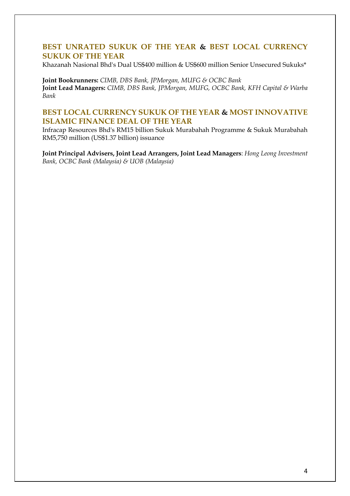### **BEST UNRATED SUKUK OF THE YEAR & BEST LOCAL CURRENCY SUKUK OF THE YEAR**

Khazanah Nasional Bhd's Dual US\$400 million & US\$600 million Senior Unsecured Sukuks\*

**Joint Bookrunners:** *CIMB, DBS Bank, JPMorgan, MUFG & OCBC Bank* **Joint Lead Managers:** *CIMB, DBS Bank, JPMorgan, MUFG, OCBC Bank, KFH Capital & Warba Bank*

### **BEST LOCAL CURRENCY SUKUK OF THE YEAR & MOST INNOVATIVE ISLAMIC FINANCE DEAL OF THE YEAR**

Infracap Resources Bhd's RM15 billion Sukuk Murabahah Programme & Sukuk Murabahah RM5,750 million (US\$1.37 billion) issuance

**Joint Principal Advisers, Joint Lead Arrangers, Joint Lead Managers**: *Hong Leong Investment Bank, OCBC Bank (Malaysia) & UOB (Malaysia)*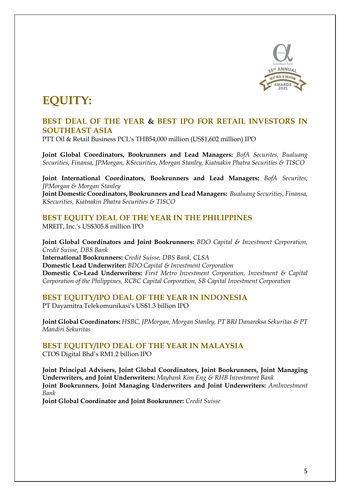

# **EQUITY:**

### **BEST DEAL OF THE YEAR & BEST IPO FOR RETAIL INVESTORS IN SOUTHEAST ASIA**

PTT Oil & Retail Business PCL's THB54,000 million (US\$1,602 million) IPO

**Joint Global Coordinators, Bookrunners and Lead Managers:** *BofA Securites, Bualuang Securities, Finansa, JPMorgan, KSecurities, Morgan Stanley, Kiatnakin Phatra Securities & TISCO*

**Joint International Coordinators, Bookrunners and Lead Managers:** *BofA Securites, JPMorgan & Morgan Stanley*

**Joint Domestic Coordinators, Bookrunners and Lead Managers:** *Bualuang Securities, Finansa, KSecurities, Kiatnakin Phatra Securities & TISCO*

### **BEST EQUITY DEAL OF THE YEAR IN THE PHILIPPINES**

MREIT, Inc.'s US\$305.8 million IPO

**Joint Global Coordinators and Joint Bookrunners:** *BDO Capital & Investment Corporation, Credit Suisse, DBS Bank* **International Bookrunners:** *Credit Suisse, DBS Bank, CLSA* **Domestic Lead Underwriter:** *BDO Capital & Investment Corporation* **Domestic Co-Lead Underwriters:** *First Metro Investment Corporation, Investment & Capital Corporation of the Philippines, RCBC Capital Corporation, SB Capital Investment Corporation*

### **BEST EQUITY/IPO DEAL OF THE YEAR IN INDONESIA**

PT Dayamitra Telekomunikasi's US\$1.3 billion IPO

**Joint Global Coordinators:** *HSBC, JPMorgan, Morgan Stanley, PT BRI Danareksa Sekuritas & PT Mandiri Sekuritas*

**BEST EQUITY/IPO DEAL OF THE YEAR IN MALAYSIA** CTOS Digital Bhd's RM1.2 billion IPO

**Joint Principal Advisers, Joint Global Coordinators, Joint Bookrunners, Joint Managing Underwriters, and Joint Underwriters:** *Maybank Kim Eng & RHB Investment Bank* **Joint Bookrunners, Joint Managing Underwriters and Joint Underwriters:** *AmInvestment Bank*

**Joint Global Coordinator and Joint Bookrunner:** *Credit Suisse*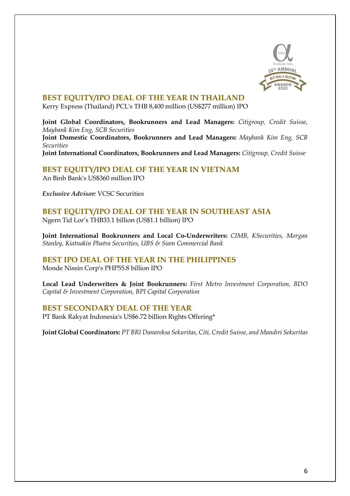

### **BEST EQUITY/IPO DEAL OF THE YEAR IN THAILAND**

Kerry Express (Thailand) PCL's THB 8,400 million (US\$277 million) IPO

**Joint Global Coordinators, Bookrunners and Lead Managers:** *Citigroup, Credit Suisse, Maybank Kim Eng, SCB Securities*

**Joint Domestic Coordinators, Bookrunners and Lead Managers:** *Maybank Kim Eng, SCB Securities*

**Joint International Coordinators, Bookrunners and Lead Managers:** *Citigroup, Credit Suisse*

**BEST EQUITY/IPO DEAL OF THE YEAR IN VIETNAM** An Binh Bank's US\$360 million IPO

*Exclusive Advisor:* VCSC Securities

### **BEST EQUITY/IPO DEAL OF THE YEAR IN SOUTHEAST ASIA** Ngern Tid Lor's THB33.1 billion (US\$1.1 billion) IPO

**Joint International Bookrunners and Local Co-Underwriters:** *CIMB, KSecurities, Morgan Stanley, Kiatnakin Phatra Securities, UBS & Siam Commercial Bank*

### **BEST IPO DEAL OF THE YEAR IN THE PHILIPPINES**

Monde Nissin Corp's PHP55.8 billion IPO

**Local Lead Underwriters & Joint Bookrunners:** *First Metro Investment Corporation, BDO Capital & Investment Corporation, BPI Capital Corporation*

### **BEST SECONDARY DEAL OF THE YEAR**

PT Bank Rakyat Indonesia's US\$6.72 billion Rights Offering\*

**Joint Global Coordinators:** *PT BRI Danareksa Sekuritas, Citi, Credit Suisse, and Mandiri Sekuritas*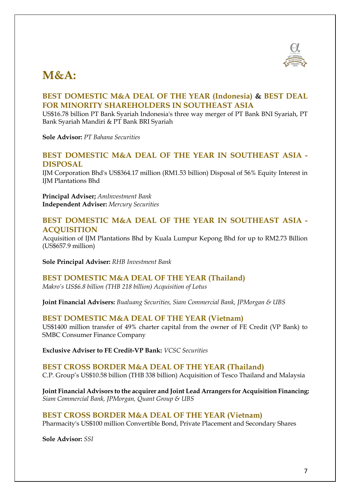

### **M&A:**

### **BEST DOMESTIC M&A DEAL OF THE YEAR (Indonesia) & BEST DEAL FOR MINORITY SHAREHOLDERS IN SOUTHEAST ASIA**

US\$16.78 billion PT Bank Syariah Indonesia's three way merger of PT Bank BNI Syariah, PT Bank Syariah Mandiri & PT Bank BRI Syariah

**Sole Advisor:** *PT Bahana Securities*

### **BEST DOMESTIC M&A DEAL OF THE YEAR IN SOUTHEAST ASIA - DISPOSAL**

IJM Corporation Bhd's US\$364.17 million (RM1.53 billion) Disposal of 56% Equity Interest in IJM Plantations Bhd

**Principal Adviser;** *AmInvestment Bank* **Independent Adviser:** *Mercury Securities*

### **BEST DOMESTIC M&A DEAL OF THE YEAR IN SOUTHEAST ASIA - ACQUISITION**

Acquisition of IJM Plantations Bhd by Kuala Lumpur Kepong Bhd for up to RM2.73 Billion (US\$657.9 million)

**Sole Principal Adviser:** *RHB Investment Bank*

### **BEST DOMESTIC M&A DEAL OF THE YEAR (Thailand)**

*Makro's US\$6.8 billion (THB 218 billion) Acquisition of Lotus*

**Joint Financial Advisers:** *Bualuang Securities, Siam Commercial Bank, JPMorgan & UBS*

### **BEST DOMESTIC M&A DEAL OF THE YEAR (Vietnam)**

US\$1400 million transfer of 49% charter capital from the owner of FE Credit (VP Bank) to SMBC Consumer Finance Company

**Exclusive Adviser to FE Credit-VP Bank:** *VCSC Securities*

### **BEST CROSS BORDER M&A DEAL OF THE YEAR (Thailand)**

C.P. Group's US\$10.58 billion (THB 338 billion) Acquisition of Tesco Thailand and Malaysia

**Joint Financial Advisors to the acquirer and Joint Lead Arrangers for Acquisition Financing:** *Siam Commercial Bank, JPMorgan, Quant Group & UBS*

#### **BEST CROSS BORDER M&A DEAL OF THE YEAR (Vietnam)**

Pharmacity's US\$100 million Convertible Bond, Private Placement and Secondary Shares

**Sole Advisor:** *SSI*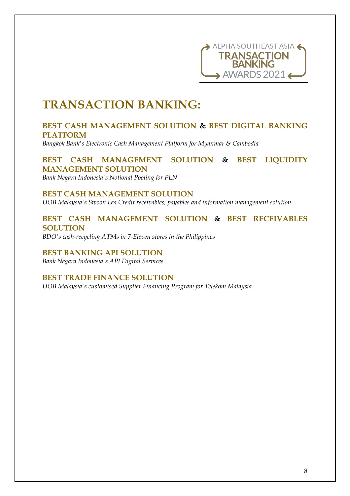

### **TRANSACTION BANKING:**

### **BEST CASH MANAGEMENT SOLUTION & BEST DIGITAL BANKING PLATFORM**

*Bangkok Bank's Electronic Cash Management Platform for Myanmar & Cambodia*

### **BEST CASH MANAGEMENT SOLUTION & BEST LIQUIDITY MANAGEMENT SOLUTION**

*Bank Negara Indonesia's Notional Pooling for PLN*

#### **BEST CASH MANAGEMENT SOLUTION**

*UOB Malaysia's Swoon Lea Credit receivables, payables and information management solution*

### **BEST CASH MANAGEMENT SOLUTION & BEST RECEIVABLES SOLUTION**

*BDO's cash-recycling ATMs in 7-Eleven stores in the Philippines*

#### **BEST BANKING API SOLUTION** *Bank Negara Indonesia's API Digital Services*

### **BEST TRADE FINANCE SOLUTION**

*UOB Malaysia's customised Supplier Financing Program for Telekom Malaysia*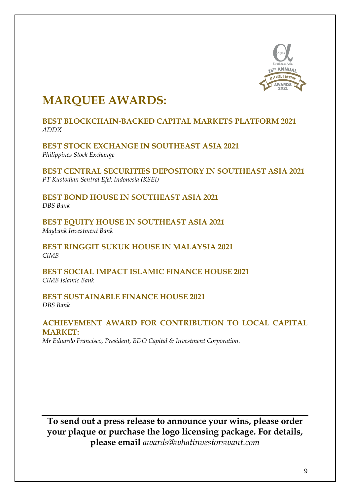

### **MARQUEE AWARDS:**

### **BEST BLOCKCHAIN-BACKED CAPITAL MARKETS PLATFORM 2021** *ADDX*

**BEST STOCK EXCHANGE IN SOUTHEAST ASIA 2021** *Philippines Stock Exchange*

**BEST CENTRAL SECURITIES DEPOSITORY IN SOUTHEAST ASIA 2021** *PT Kustodian Sentral Efek Indonesia (KSEI)*

**BEST BOND HOUSE IN SOUTHEAST ASIA 2021** *DBS Bank*

**BEST EQUITY HOUSE IN SOUTHEAST ASIA 2021** *Maybank Investment Bank*

**BEST RINGGIT SUKUK HOUSE IN MALAYSIA 2021** *CIMB*

**BEST SOCIAL IMPACT ISLAMIC FINANCE HOUSE 2021** *CIMB Islamic Bank*

**BEST SUSTAINABLE FINANCE HOUSE 2021** *DBS Bank*

### **ACHIEVEMENT AWARD FOR CONTRIBUTION TO LOCAL CAPITAL MARKET:**

*Mr Eduardo Francisco, President, BDO Capital & Investment Corporation.*

**To send out a press release to announce your wins, please order your plaque or purchase the logo licensing package. For details, please email** *awards@whatinvestorswant.com*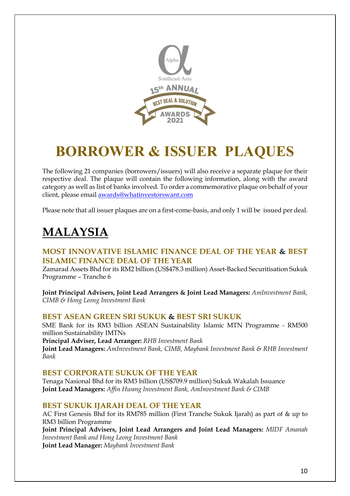

# **BORROWER & ISSUER PLAQUES**

The following 21 companies (borrowers/issuers) will also receive a separate plaque for their respective deal. The plaque will contain the following information, along with the award category as well as list of banks involved. To order a commemorative plaque on behalf of your client, please email awards@whatinvestorswant.com

Please note that all issuer plaques are on a first-come-basis, and only 1 will be issued per deal.

## **MALAYSIA**

### **MOST INNOVATIVE ISLAMIC FINANCE DEAL OF THE YEAR & BEST ISLAMIC FINANCE DEAL OF THE YEAR**

Zamarad Assets Bhd for its RM2 billion (US\$478.3 million) Asset-Backed Securitisation Sukuk Programme – Tranche 6

**Joint Principal Advisers, Joint Lead Arrangers & Joint Lead Managers:** *AmInvestment Bank, CIMB & Hong Leong Investment Bank*

### **BEST ASEAN GREEN SRI SUKUK & BEST SRI SUKUK**

SME Bank for its RM3 billion ASEAN Sustainability Islamic MTN Programme - RM500 million Sustainability IMTNs

**Principal Adviser, Lead Arranger:** *RHB Investment Bank*

**Joint Lead Managers:** *AmInvestment Bank, CIMB, Maybank Investment Bank & RHB Investment Bank*

### **BEST CORPORATE SUKUK OF THE YEAR**

Tenaga Nasional Bhd for its RM3 billion (US\$709.9 million) Sukuk Wakalah Issuance **Joint Lead Managers:** *Affin Hwang Investment Bank, AmInvestment Bank & CIMB*

### **BEST SUKUK IJARAH DEAL OF THE YEAR**

AC First Genesis Bhd for its RM785 million (First Tranche Sukuk Ijarah) as part of & up to RM3 billion Programme

**Joint Principal Advisers, Joint Lead Arrangers and Joint Lead Managers:** *MIDF Amanah Investment Bank and Hong Leong Investment Bank* **Joint Lead Manager:** *Maybank Investment Bank*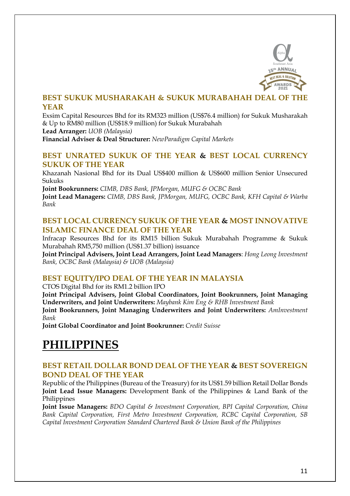

### **BEST SUKUK MUSHARAKAH & SUKUK MURABAHAH DEAL OF THE YEAR**

Exsim Capital Resources Bhd for its RM323 million (US\$76.4 million) for Sukuk Musharakah & Up to RM80 million (US\$18.9 million) for Sukuk Murabahah **Lead Arranger:** *UOB (Malaysia)*

**Financial Adviser & Deal Structurer:** *NewParadigm Capital Markets*

### **BEST UNRATED SUKUK OF THE YEAR & BEST LOCAL CURRENCY SUKUK OF THE YEAR**

Khazanah Nasional Bhd for its Dual US\$400 million & US\$600 million Senior Unsecured Sukuks

**Joint Bookrunners:** *CIMB, DBS Bank, JPMorgan, MUFG & OCBC Bank* 

**Joint Lead Managers:** *CIMB, DBS Bank, JPMorgan, MUFG, OCBC Bank, KFH Capital & Warba Bank*

### **BEST LOCAL CURRENCY SUKUK OF THE YEAR & MOST INNOVATIVE ISLAMIC FINANCE DEAL OF THE YEAR**

Infracap Resources Bhd for its RM15 billion Sukuk Murabahah Programme & Sukuk Murabahah RM5,750 million (US\$1.37 billion) issuance

**Joint Principal Advisers, Joint Lead Arrangers, Joint Lead Managers**: *Hong Leong Investment Bank, OCBC Bank (Malaysia) & UOB (Malaysia)*

### **BEST EQUITY/IPO DEAL OF THE YEAR IN MALAYSIA**

CTOS Digital Bhd for its RM1.2 billion IPO

**Joint Principal Advisers, Joint Global Coordinators, Joint Bookrunners, Joint Managing Underwriters, and Joint Underwriters:** *Maybank Kim Eng & RHB Investment Bank*

**Joint Bookrunners, Joint Managing Underwriters and Joint Underwriters:** *AmInvestment Bank*

**Joint Global Coordinator and Joint Bookrunner:** *Credit Suisse*

### **PHILIPPINES**

### **BEST RETAIL DOLLAR BOND DEAL OF THE YEAR & BEST SOVEREIGN BOND DEAL OF THE YEAR**

Republic of the Philippines (Bureau of the Treasury) for its US\$1.59 billion Retail Dollar Bonds **Joint Lead Issue Managers:** Development Bank of the Philippines & Land Bank of the Philippines

**Joint Issue Managers:** *BDO Capital & Investment Corporation, BPI Capital Corporation, China Bank Capital Corporation, First Metro Investment Corporation, RCBC Capital Corporation, SB Capital Investment Corporation Standard Chartered Bank & Union Bank of the Philippines*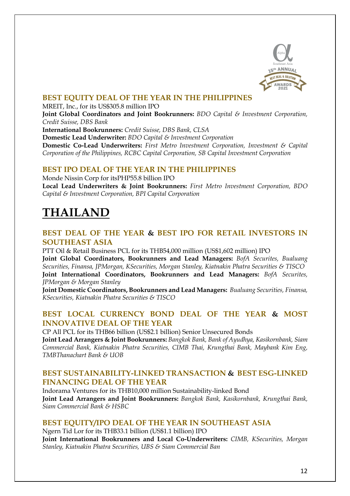

### **BEST EQUITY DEAL OF THE YEAR IN THE PHILIPPINES**

MREIT, Inc., for its US\$305.8 million IPO

**Joint Global Coordinators and Joint Bookrunners:** *BDO Capital & Investment Corporation, Credit Suisse, DBS Bank*

**International Bookrunners:** *Credit Suisse, DBS Bank, CLSA*

**Domestic Lead Underwriter:** *BDO Capital & Investment Corporation*

**Domestic Co-Lead Underwriters:** *First Metro Investment Corporation, Investment & Capital Corporation of the Philippines, RCBC Capital Corporation, SB Capital Investment Corporation*

### **BEST IPO DEAL OF THE YEAR IN THE PHILIPPINES**

Monde Nissin Corp for itsPHP55.8 billion IPO **Local Lead Underwriters & Joint Bookrunners:** *First Metro Investment Corporation, BDO Capital & Investment Corporation, BPI Capital Corporation*

### **THAILAND**

### **BEST DEAL OF THE YEAR & BEST IPO FOR RETAIL INVESTORS IN SOUTHEAST ASIA**

PTT Oil & Retail Business PCL for its THB54,000 million (US\$1,602 million) IPO **Joint Global Coordinators, Bookrunners and Lead Managers:** *BofA Securites, Bualuang Securities, Finansa, JPMorgan, KSecurities, Morgan Stanley, Kiatnakin Phatra Securities & TISCO* **Joint International Coordinators, Bookrunners and Lead Managers:** *BofA Securites, JPMorgan & Morgan Stanley*

**Joint Domestic Coordinators, Bookrunners and Lead Managers:** *Bualuang Securities, Finansa, KSecurities, Kiatnakin Phatra Securities & TISCO*

### **BEST LOCAL CURRENCY BOND DEAL OF THE YEAR & MOST INNOVATIVE DEAL OF THE YEAR**

CP All PCL for its THB66 billion (US\$2.1 billion) Senior Unsecured Bonds

**Joint Lead Arrangers & Joint Bookrunners:** *Bangkok Bank, Bank of Ayudhya, Kasikornbank, Siam Commercial Bank, Kiatnakin Phatra Securities, CIMB Thai, Krungthai Bank, Maybank Kim Eng, TMBThanachart Bank & UOB*

### **BEST SUSTAINABILITY-LINKED TRANSACTION & BEST ESG-LINKED FINANCING DEAL OF THE YEAR**

Indorama Ventures for its THB10,000 million Sustainability-linked Bond **Joint Lead Arrangers and Joint Bookrunners:** *Bangkok Bank, Kasikornbank, Krungthai Bank, Siam Commercial Bank & HSBC*

### **BEST EQUITY/IPO DEAL OF THE YEAR IN SOUTHEAST ASIA**

Ngern Tid Lor for its THB33.1 billion (US\$1.1 billion) IPO

**Joint International Bookrunners and Local Co-Underwriters:** *CIMB, KSecurities, Morgan Stanley, Kiatnakin Phatra Securities, UBS & Siam Commercial Ban*